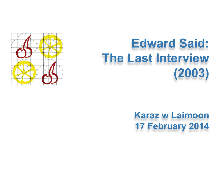

# **Edward Said: The Last Interview**  $(2003)$

**Karaz w Laimoon** 17 February 2014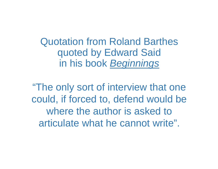Quotation from Roland Barthes quoted by Edward Said in his book *Beginnings*

"The only sort of interview that one could, if forced to, defend would be where the author is asked to articulate what he cannot write".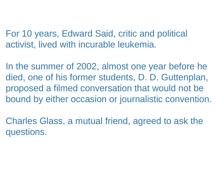For 10 years, Edward Said, critic and political activist, lived with incurable leukemia.

In the summer of 2002, almost one year before he died, one of his former students, D. D. Guttenplan, proposed a filmed conversation that would not be bound by either occasion or journalistic convention.

Charles Glass, a mutual friend, agreed to ask the questions.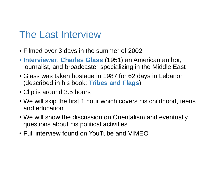## The Last Interview

- Filmed over 3 days in the summer of 2002
- **Interviewer**: **Charles Glass** (1951) an American author, journalist, and broadcaster specializing in the Middle East
- Glass was taken hostage in 1987 for 62 days in Lebanon (described in his book: **Tribes and Flags** )
- Clip is around 3.5 hours
- We will skip the first 1 hour which covers his childhood, teens and education
- We will show the discussion on Orientalism and eventually questions about his political activities
- Full interview found on YouTube and VIMEO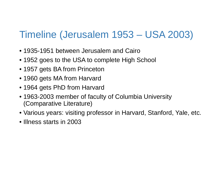## Timeline (Jerusalem 1953 – USA 2003)

- 1935-1951 between Jerusalem and Cairo
- 1952 goes to the USA to complete High School
- 1957 gets BA from Princeton
- 1960 gets MA from Harvard
- 1964 gets PhD from Harvard
- 1963-2003 member of faculty of Columbia University (Comparative Literature)
- Various years: visiting professor in Harvard, Stanford, Yale, etc.
- Illness starts in 2003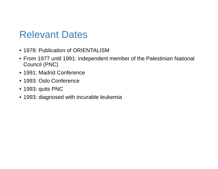#### Relevant Dates

- 1978: Publication of ORIENTALISM
- From 1977 until 1991: independent member of the Palestinian National Council (PNC)
- 1991: Madrid Conference
- 1993: Oslo Conference
- 1993: quits PNC
- 1993: diagnosed with incurable leukemia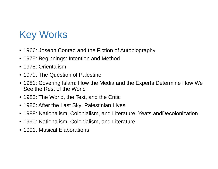# Key Works

- 1966: Joseph Conrad and the Fiction of Autobiography
- 1975: Beginnings: Intention and Method
- 1978: Orientalism
- 1979: The Question of Palestine
- 1981: Covering Islam: How the Media and the Experts Determine How We See the Rest of the World
- 1983: The World, the Text, and the Critic
- 1986: After the Last Sky: Palestinian Lives
- 1988: Nationalism, Colonialism, and Literature: Yeats andDecolonization
- 1990: Nationalism, Colonialism, and Literature
- 1991: Musical Elaborations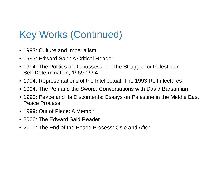# Key Works (Continued)

- 1993: Culture and Imperialism
- 1993: Edward Said: A Critical Reader
- 1994: The Politics of Dispossession: The Struggle for Palestinian Self-Determination, 1969-1994
- 1994: Representations of the Intellectual: The 1993 Reith lectures
- 1994: The Pen and the Sword: Conversations with David Barsamian
- 1995: Peace and Its Discontents: Essays on Palestine in the Middle East Peace Process
- 1999: Out of Place: A Memoir
- 2000: The Edward Said Reader
- 2000: The End of the Peace Process: Oslo and After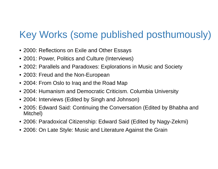# Key Works (some published posthumously)

- 2000: Reflections on Exile and Other Essays
- 2001: Power, Politics and Culture (Interviews)
- 2002: Parallels and Paradoxes: Explorations in Music and Society
- 2003: Freud and the Non-European
- 2004: From Oslo to Iraq and the Road Map
- 2004: Humanism and Democratic Criticism. Columbia University
- 2004: Interviews (Edited by Singh and Johnson)
- 2005: Edward Said: Continuing the Conversation (Edited by Bhabha and Mitchel)
- 2006: Paradoxical Citizenship: Edward Said (Edited by Nagy-Zekmi)
- 2006: On Late Style: Music and Literature Against the Grain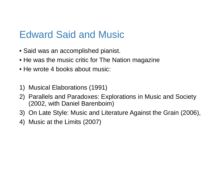#### Edward Said and Music

- Said was an accomplished pianist.
- He was the music critic for The Nation magazine
- He wrote 4 books about music:
- 1) Musical Elaborations (1991)
- 2) Parallels and Paradoxes: Explorations in Music and Society (2002, with Daniel Barenboim)
- 3) On Late Style: Music and Literature Against the Grain (2006),
- 4) Music at the Limits (2007)